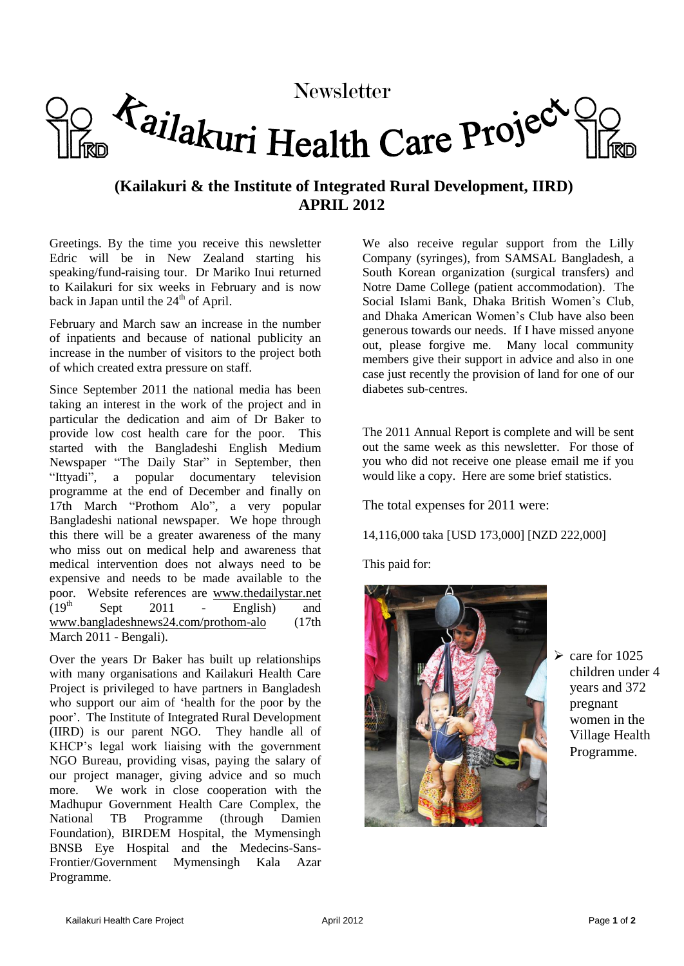# Newsletter<br>Tailakuri Health Care Project

## **(Kailakuri & the Institute of Integrated Rural Development, IIRD) APRIL 2012**

Greetings. By the time you receive this newsletter Edric will be in New Zealand starting his speaking/fund-raising tour. Dr Mariko Inui returned to Kailakuri for six weeks in February and is now back in Japan until the  $24<sup>th</sup>$  of April.

February and March saw an increase in the number of inpatients and because of national publicity an increase in the number of visitors to the project both of which created extra pressure on staff.

Since September 2011 the national media has been taking an interest in the work of the project and in particular the dedication and aim of Dr Baker to provide low cost health care for the poor. This started with the Bangladeshi English Medium Newspaper "The Daily Star" in September, then "Ittyadi", a popular documentary television programme at the end of December and finally on 17th March "Prothom Alo", a very popular Bangladeshi national newspaper. We hope through this there will be a greater awareness of the many who miss out on medical help and awareness that medical intervention does not always need to be expensive and needs to be made available to the poor. Website references are www.thedailystar.net (19<sup>th</sup> Sept 2011 - English) and Sept 2011 - English) and www.bangladeshnews24.com/prothom-alo (17th March 2011 - Bengali).

Over the years Dr Baker has built up relationships with many organisations and Kailakuri Health Care Project is privileged to have partners in Bangladesh who support our aim of 'health for the poor by the poor'. The Institute of Integrated Rural Development (IIRD) is our parent NGO. They handle all of KHCP's legal work liaising with the government NGO Bureau, providing visas, paying the salary of our project manager, giving advice and so much more. We work in close cooperation with the Madhupur Government Health Care Complex, the National TB Programme (through Damien Foundation), BIRDEM Hospital, the Mymensingh BNSB Eye Hospital and the Medecins-Sans-Frontier/Government Mymensingh Kala Azar Programme.

We also receive regular support from the Lilly Company (syringes), from SAMSAL Bangladesh, a South Korean organization (surgical transfers) and Notre Dame College (patient accommodation). The Social Islami Bank, Dhaka British Women's Club, and Dhaka American Women's Club have also been generous towards our needs. If I have missed anyone out, please forgive me. Many local community members give their support in advice and also in one case just recently the provision of land for one of our diabetes sub-centres.

The 2011 Annual Report is complete and will be sent out the same week as this newsletter. For those of you who did not receive one please email me if you would like a copy. Here are some brief statistics.

The total expenses for 2011 were:

14,116,000 taka [USD 173,000] [NZD 222,000]

This paid for:



 $\ge$  care for 1025 children under 4 years and 372 pregnant women in the Village Health Programme.